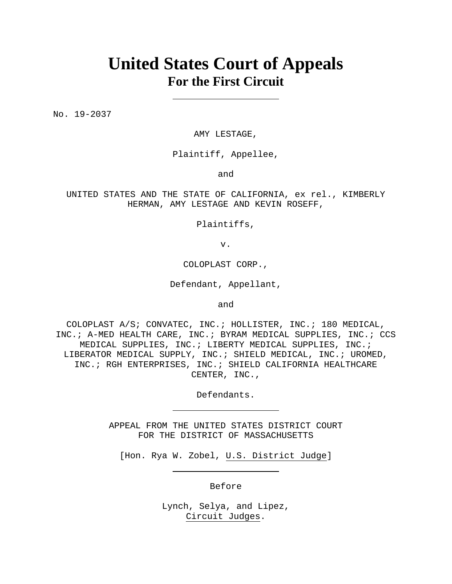# **United States Court of Appeals For the First Circuit**

No. 19-2037

AMY LESTAGE,

Plaintiff, Appellee,

and

UNITED STATES AND THE STATE OF CALIFORNIA, ex rel., KIMBERLY HERMAN, AMY LESTAGE AND KEVIN ROSEFF,

Plaintiffs,

v.

COLOPLAST CORP.,

Defendant, Appellant,

and

COLOPLAST A/S; CONVATEC, INC.; HOLLISTER, INC.; 180 MEDICAL, INC.; A-MED HEALTH CARE, INC.; BYRAM MEDICAL SUPPLIES, INC.; CCS MEDICAL SUPPLIES, INC.; LIBERTY MEDICAL SUPPLIES, INC.; LIBERATOR MEDICAL SUPPLY, INC.; SHIELD MEDICAL, INC.; UROMED, INC.; RGH ENTERPRISES, INC.; SHIELD CALIFORNIA HEALTHCARE CENTER, INC.,

Defendants.

APPEAL FROM THE UNITED STATES DISTRICT COURT FOR THE DISTRICT OF MASSACHUSETTS

[Hon. Rya W. Zobel, U.S. District Judge]

Before

Lynch, Selya, and Lipez, Circuit Judges.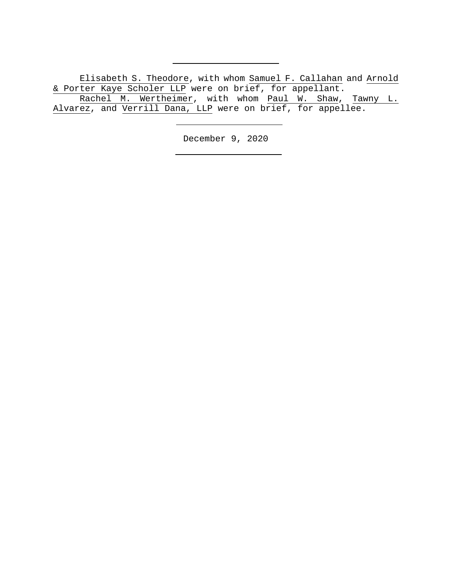Elisabeth S. Theodore, with whom Samuel F. Callahan and Arnold & Porter Kaye Scholer LLP were on brief, for appellant. Rachel M. Wertheimer, with whom Paul W. Shaw, Tawny L. Alvarez, and Verrill Dana, LLP were on brief, for appellee.

December 9, 2020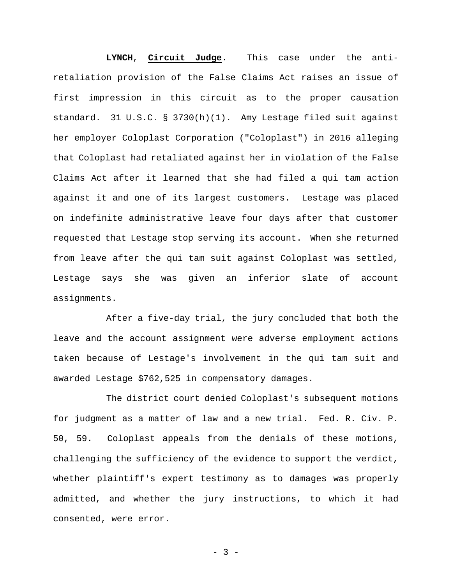**LYNCH**, **Circuit Judge**. This case under the antiretaliation provision of the False Claims Act raises an issue of first impression in this circuit as to the proper causation standard. 31 U.S.C. § 3730(h)(1).Amy Lestage filed suit against her employer Coloplast Corporation ("Coloplast") in 2016 alleging that Coloplast had retaliated against her in violation of the False Claims Act after it learned that she had filed a qui tam action against it and one of its largest customers. Lestage was placed on indefinite administrative leave four days after that customer requested that Lestage stop serving its account. When she returned from leave after the qui tam suit against Coloplast was settled, Lestage says she was given an inferior slate of account assignments.

After a five-day trial, the jury concluded that both the leave and the account assignment were adverse employment actions taken because of Lestage's involvement in the qui tam suit and awarded Lestage \$762,525 in compensatory damages.

The district court denied Coloplast's subsequent motions for judgment as a matter of law and a new trial. Fed. R. Civ. P. 50, 59. Coloplast appeals from the denials of these motions, challenging the sufficiency of the evidence to support the verdict, whether plaintiff's expert testimony as to damages was properly admitted, and whether the jury instructions, to which it had consented, were error.

- 3 -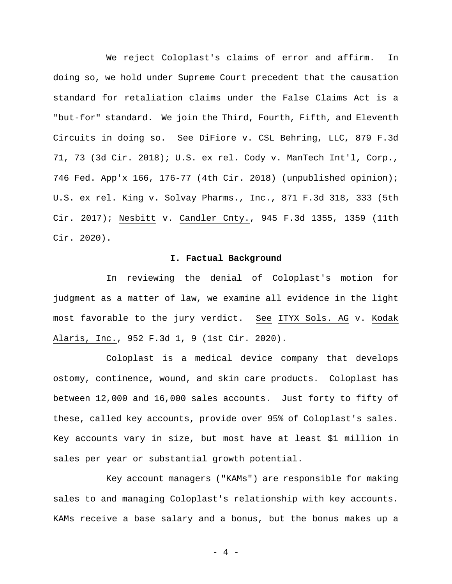We reject Coloplast's claims of error and affirm. In doing so, we hold under Supreme Court precedent that the causation standard for retaliation claims under the False Claims Act is a "but-for" standard. We join the Third, Fourth, Fifth, and Eleventh Circuits in doing so. See DiFiore v. CSL Behring, LLC, 879 F.3d 71, 73 (3d Cir. 2018); U.S. ex rel. Cody v. ManTech Int'l, Corp., 746 Fed. App'x 166, 176-77 (4th Cir. 2018) (unpublished opinion); U.S. ex rel. King v. Solvay Pharms., Inc., 871 F.3d 318, 333 (5th Cir. 2017); Nesbitt v. Candler Cnty., 945 F.3d 1355, 1359 (11th Cir. 2020).

### **I. Factual Background**

In reviewing the denial of Coloplast's motion for judgment as a matter of law, we examine all evidence in the light most favorable to the jury verdict. See ITYX Sols. AG v. Kodak Alaris, Inc., 952 F.3d 1, 9 (1st Cir. 2020).

Coloplast is a medical device company that develops ostomy, continence, wound, and skin care products. Coloplast has between 12,000 and 16,000 sales accounts. Just forty to fifty of these, called key accounts, provide over 95% of Coloplast's sales. Key accounts vary in size, but most have at least \$1 million in sales per year or substantial growth potential.

Key account managers ("KAMs") are responsible for making sales to and managing Coloplast's relationship with key accounts. KAMs receive a base salary and a bonus, but the bonus makes up a

- 4 -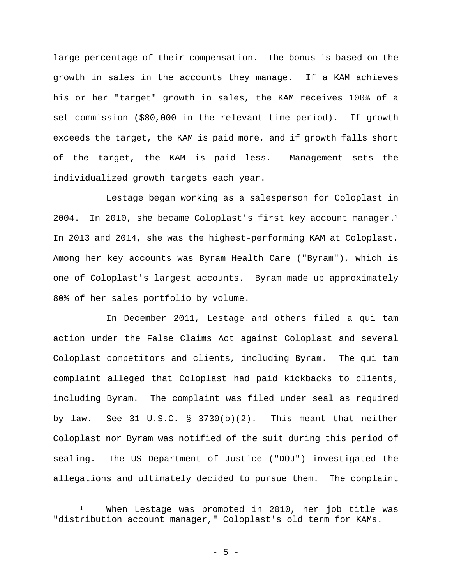large percentage of their compensation. The bonus is based on the growth in sales in the accounts they manage. If a KAM achieves his or her "target" growth in sales, the KAM receives 100% of a set commission (\$80,000 in the relevant time period). If growth exceeds the target, the KAM is paid more, and if growth falls short of the target, the KAM is paid less. Management sets the individualized growth targets each year.

Lestage began working as a salesperson for Coloplast in 2004. In 2010, she became Coloplast's first key account manager.<sup>1</sup> In 2013 and 2014, she was the highest-performing KAM at Coloplast. Among her key accounts was Byram Health Care ("Byram"), which is one of Coloplast's largest accounts. Byram made up approximately 80% of her sales portfolio by volume.

In December 2011, Lestage and others filed a qui tam action under the False Claims Act against Coloplast and several Coloplast competitors and clients, including Byram. The qui tam complaint alleged that Coloplast had paid kickbacks to clients, including Byram. The complaint was filed under seal as required by law. See 31 U.S.C.  $\S$  3730(b)(2). This meant that neither Coloplast nor Byram was notified of the suit during this period of sealing. The US Department of Justice ("DOJ") investigated the allegations and ultimately decided to pursue them. The complaint

<sup>1</sup> When Lestage was promoted in 2010, her job title was "distribution account manager," Coloplast's old term for KAMs.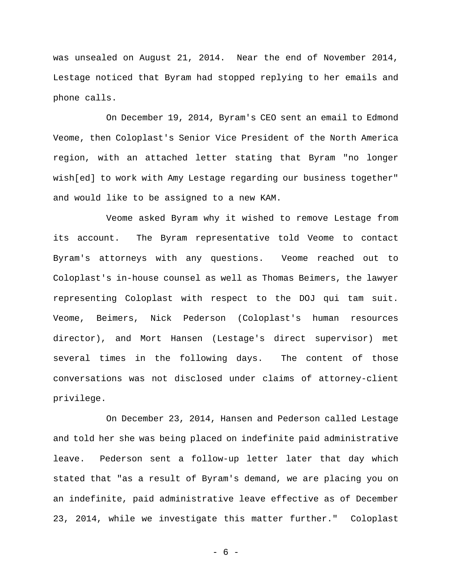was unsealed on August 21, 2014. Near the end of November 2014, Lestage noticed that Byram had stopped replying to her emails and phone calls.

On December 19, 2014, Byram's CEO sent an email to Edmond Veome, then Coloplast's Senior Vice President of the North America region, with an attached letter stating that Byram "no longer wish[ed] to work with Amy Lestage regarding our business together" and would like to be assigned to a new KAM.

Veome asked Byram why it wished to remove Lestage from its account.The Byram representative told Veome to contact Byram's attorneys with any questions. Veome reached out to Coloplast's in-house counsel as well as Thomas Beimers, the lawyer representing Coloplast with respect to the DOJ qui tam suit. Veome, Beimers, Nick Pederson (Coloplast's human resources director), and Mort Hansen (Lestage's direct supervisor) met several times in the following days.The content of those conversations was not disclosed under claims of attorney-client privilege.

On December 23, 2014, Hansen and Pederson called Lestage and told her she was being placed on indefinite paid administrative leave. Pederson sent a follow-up letter later that day which stated that "as a result of Byram's demand, we are placing you on an indefinite, paid administrative leave effective as of December 23, 2014, while we investigate this matter further."Coloplast

- 6 -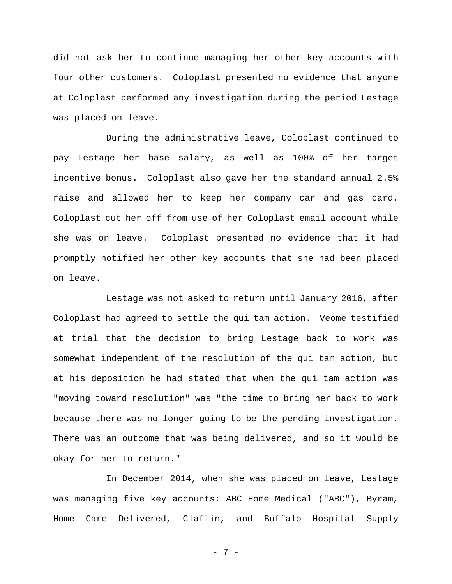did not ask her to continue managing her other key accounts with four other customers. Coloplast presented no evidence that anyone at Coloplast performed any investigation during the period Lestage was placed on leave.

During the administrative leave, Coloplast continued to pay Lestage her base salary, as well as 100% of her target incentive bonus. Coloplast also gave her the standard annual 2.5% raise and allowed her to keep her company car and gas card. Coloplast cut her off from use of her Coloplast email account while she was on leave. Coloplast presented no evidence that it had promptly notified her other key accounts that she had been placed on leave.

Lestage was not asked to return until January 2016, after Coloplast had agreed to settle the qui tam action. Veome testified at trial that the decision to bring Lestage back to work was somewhat independent of the resolution of the qui tam action, but at his deposition he had stated that when the qui tam action was "moving toward resolution" was "the time to bring her back to work because there was no longer going to be the pending investigation. There was an outcome that was being delivered, and so it would be okay for her to return."

 In December 2014, when she was placed on leave, Lestage was managing five key accounts: ABC Home Medical ("ABC"), Byram, Home Care Delivered, Claflin, and Buffalo Hospital Supply

- 7 -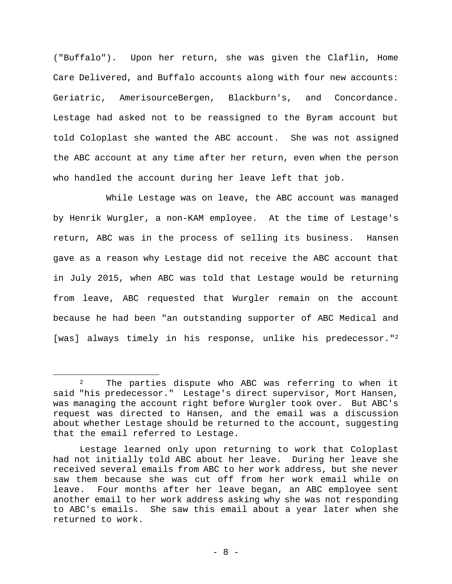("Buffalo").Upon her return, she was given the Claflin, Home Care Delivered, and Buffalo accounts along with four new accounts: Geriatric, AmerisourceBergen, Blackburn's, and Concordance. Lestage had asked not to be reassigned to the Byram account but told Coloplast she wanted the ABC account.She was not assigned the ABC account at any time after her return, even when the person who handled the account during her leave left that job.

 While Lestage was on leave, the ABC account was managed by Henrik Wurgler, a non-KAM employee.At the time of Lestage's return, ABC was in the process of selling its business. Hansen gave as a reason why Lestage did not receive the ABC account that in July 2015, when ABC was told that Lestage would be returning from leave, ABC requested that Wurgler remain on the account because he had been "an outstanding supporter of ABC Medical and [was] always timely in his response, unlike his predecessor."2

<sup>2</sup> The parties dispute who ABC was referring to when it said "his predecessor." Lestage's direct supervisor, Mort Hansen, was managing the account right before Wurgler took over. But ABC's request was directed to Hansen, and the email was a discussion about whether Lestage should be returned to the account, suggesting that the email referred to Lestage.

Lestage learned only upon returning to work that Coloplast had not initially told ABC about her leave. During her leave she received several emails from ABC to her work address, but she never saw them because she was cut off from her work email while on leave. Four months after her leave began, an ABC employee sent another email to her work address asking why she was not responding to ABC's emails.She saw this email about a year later when she returned to work.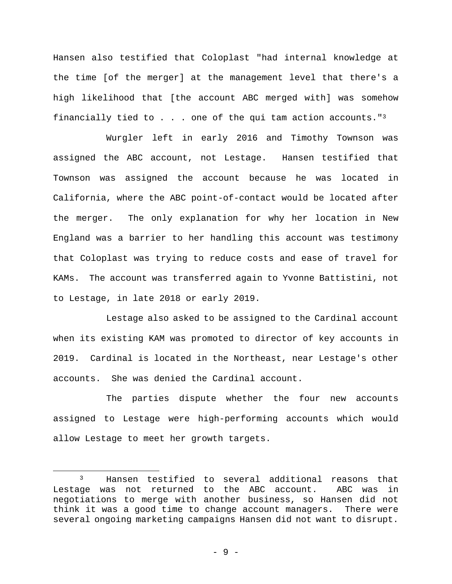Hansen also testified that Coloplast "had internal knowledge at the time [of the merger] at the management level that there's a high likelihood that [the account ABC merged with] was somehow financially tied to  $\ldots$  one of the qui tam action accounts."<sup>3</sup>

 Wurgler left in early 2016 and Timothy Townson was assigned the ABC account, not Lestage. Hansen testified that Townson was assigned the account because he was located in California, where the ABC point-of-contact would be located after the merger. The only explanation for why her location in New England was a barrier to her handling this account was testimony that Coloplast was trying to reduce costs and ease of travel for KAMs. The account was transferred again to Yvonne Battistini, not to Lestage, in late 2018 or early 2019.

 Lestage also asked to be assigned to the Cardinal account when its existing KAM was promoted to director of key accounts in 2019. Cardinal is located in the Northeast, near Lestage's other accounts. She was denied the Cardinal account.

The parties dispute whether the four new accounts assigned to Lestage were high-performing accounts which would allow Lestage to meet her growth targets.

<sup>3</sup> Hansen testified to several additional reasons that Lestage was not returned to the ABC account. ABC was in negotiations to merge with another business, so Hansen did not think it was a good time to change account managers. There were several ongoing marketing campaigns Hansen did not want to disrupt.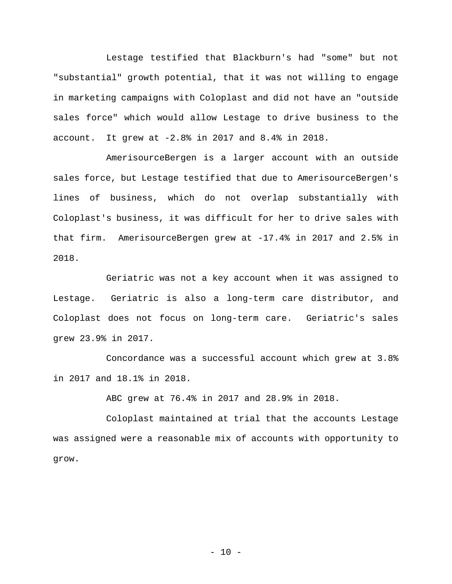Lestage testified that Blackburn's had "some" but not "substantial" growth potential, that it was not willing to engage in marketing campaigns with Coloplast and did not have an "outside sales force" which would allow Lestage to drive business to the account. It grew at -2.8% in 2017 and 8.4% in 2018.

AmerisourceBergen is a larger account with an outside sales force, but Lestage testified that due to AmerisourceBergen's lines of business, which do not overlap substantially with Coloplast's business, it was difficult for her to drive sales with that firm. AmerisourceBergen grew at -17.4% in 2017 and 2.5% in 2018.

Geriatric was not a key account when it was assigned to Lestage. Geriatric is also a long-term care distributor, and Coloplast does not focus on long-term care. Geriatric's sales grew 23.9% in 2017.

Concordance was a successful account which grew at 3.8% in 2017 and 18.1% in 2018.

ABC grew at 76.4% in 2017 and 28.9% in 2018.

Coloplast maintained at trial that the accounts Lestage was assigned were a reasonable mix of accounts with opportunity to grow.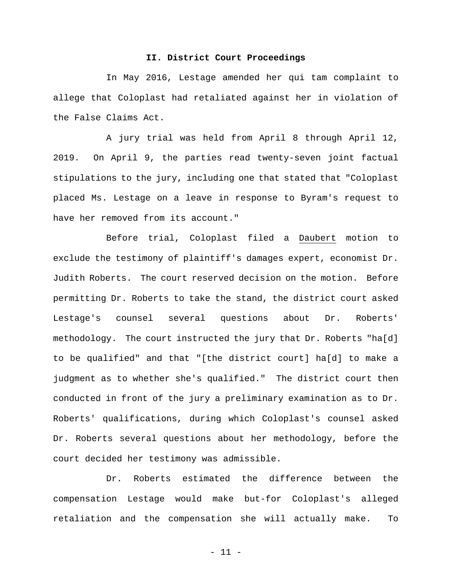# **II. District Court Proceedings**

In May 2016, Lestage amended her qui tam complaint to allege that Coloplast had retaliated against her in violation of the False Claims Act.

A jury trial was held from April 8 through April 12, 2019. On April 9, the parties read twenty-seven joint factual stipulations to the jury, including one that stated that "Coloplast placed Ms. Lestage on a leave in response to Byram's request to have her removed from its account."

Before trial, Coloplast filed a Daubert motion to exclude the testimony of plaintiff's damages expert, economist Dr. Judith Roberts. The court reserved decision on the motion. Before permitting Dr. Roberts to take the stand, the district court asked Lestage's counsel several questions about Dr. Roberts' methodology. The court instructed the jury that Dr. Roberts "ha[d] to be qualified" and that "[the district court] ha[d] to make a judgment as to whether she's qualified." The district court then conducted in front of the jury a preliminary examination as to Dr. Roberts' qualifications, during which Coloplast's counsel asked Dr. Roberts several questions about her methodology, before the court decided her testimony was admissible.

Dr. Roberts estimated the difference between the compensation Lestage would make but-for Coloplast's alleged retaliation and the compensation she will actually make. To

- 11 -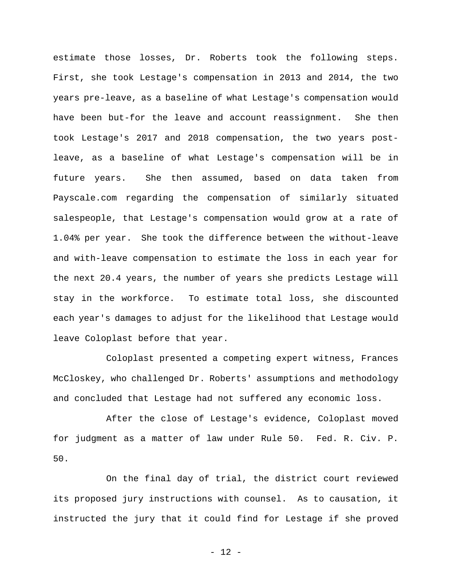estimate those losses, Dr. Roberts took the following steps. First, she took Lestage's compensation in 2013 and 2014, the two years pre-leave, as a baseline of what Lestage's compensation would have been but-for the leave and account reassignment. She then took Lestage's 2017 and 2018 compensation, the two years postleave, as a baseline of what Lestage's compensation will be in future years. She then assumed, based on data taken from Payscale.com regarding the compensation of similarly situated salespeople, that Lestage's compensation would grow at a rate of 1.04% per year. She took the difference between the without-leave and with-leave compensation to estimate the loss in each year for the next 20.4 years, the number of years she predicts Lestage will stay in the workforce. To estimate total loss, she discounted each year's damages to adjust for the likelihood that Lestage would leave Coloplast before that year.

Coloplast presented a competing expert witness, Frances McCloskey, who challenged Dr. Roberts' assumptions and methodology and concluded that Lestage had not suffered any economic loss.

After the close of Lestage's evidence, Coloplast moved for judgment as a matter of law under Rule 50. Fed. R. Civ. P. 50.

On the final day of trial, the district court reviewed its proposed jury instructions with counsel. As to causation, it instructed the jury that it could find for Lestage if she proved

- 12 -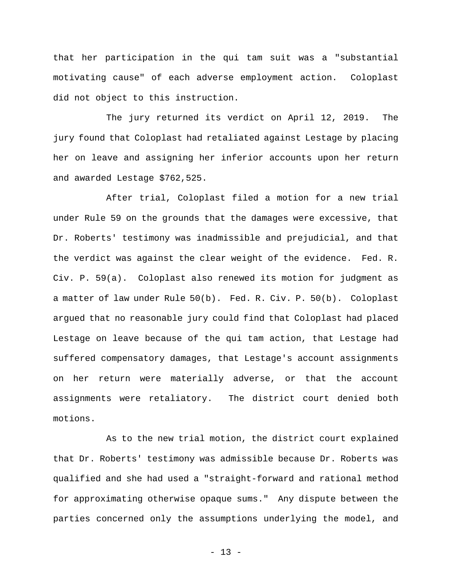that her participation in the qui tam suit was a "substantial motivating cause" of each adverse employment action. Coloplast did not object to this instruction.

The jury returned its verdict on April 12, 2019. The jury found that Coloplast had retaliated against Lestage by placing her on leave and assigning her inferior accounts upon her return and awarded Lestage \$762,525.

After trial, Coloplast filed a motion for a new trial under Rule 59 on the grounds that the damages were excessive, that Dr. Roberts' testimony was inadmissible and prejudicial, and that the verdict was against the clear weight of the evidence. Fed. R. Civ. P. 59(a). Coloplast also renewed its motion for judgment as a matter of law under Rule 50(b). Fed. R. Civ. P. 50(b). Coloplast argued that no reasonable jury could find that Coloplast had placed Lestage on leave because of the qui tam action, that Lestage had suffered compensatory damages, that Lestage's account assignments on her return were materially adverse, or that the account assignments were retaliatory. The district court denied both motions.

As to the new trial motion, the district court explained that Dr. Roberts' testimony was admissible because Dr. Roberts was qualified and she had used a "straight-forward and rational method for approximating otherwise opaque sums." Any dispute between the parties concerned only the assumptions underlying the model, and

- 13 -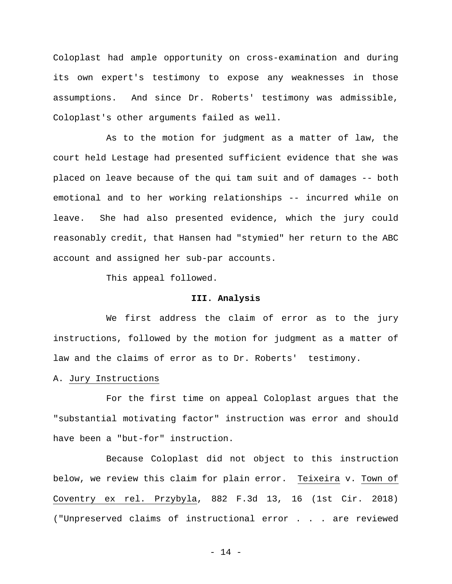Coloplast had ample opportunity on cross-examination and during its own expert's testimony to expose any weaknesses in those assumptions. And since Dr. Roberts' testimony was admissible, Coloplast's other arguments failed as well.

As to the motion for judgment as a matter of law, the court held Lestage had presented sufficient evidence that she was placed on leave because of the qui tam suit and of damages -- both emotional and to her working relationships -- incurred while on leave. She had also presented evidence, which the jury could reasonably credit, that Hansen had "stymied" her return to the ABC account and assigned her sub-par accounts.

This appeal followed.

#### **III. Analysis**

We first address the claim of error as to the jury instructions, followed by the motion for judgment as a matter of law and the claims of error as to Dr. Roberts' testimony.

## A. Jury Instructions

For the first time on appeal Coloplast argues that the "substantial motivating factor" instruction was error and should have been a "but-for" instruction.

Because Coloplast did not object to this instruction below, we review this claim for plain error. Teixeira v. Town of Coventry ex rel. Przybyla, 882 F.3d 13, 16 (1st Cir. 2018) ("Unpreserved claims of instructional error . . . are reviewed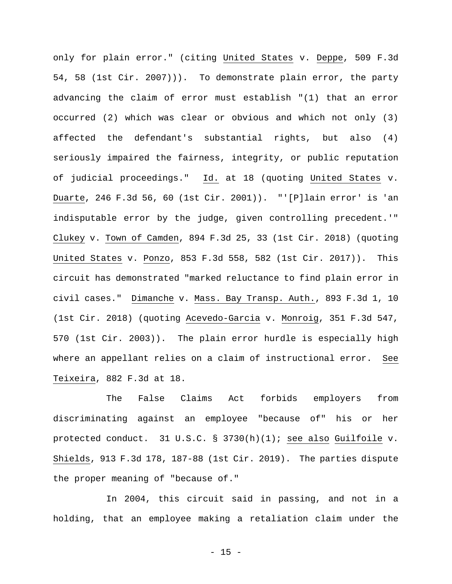only for plain error." (citing United States v. Deppe, 509 F.3d 54, 58 (1st Cir. 2007))). To demonstrate plain error, the party advancing the claim of error must establish "(1) that an error occurred (2) which was clear or obvious and which not only (3) affected the defendant's substantial rights, but also (4) seriously impaired the fairness, integrity, or public reputation of judicial proceedings." Id. at 18 (quoting United States v. Duarte, 246 F.3d 56, 60 (1st Cir. 2001)). "'[P]lain error' is 'an indisputable error by the judge, given controlling precedent.'" Clukey v. Town of Camden, 894 F.3d 25, 33 (1st Cir. 2018) (quoting United States v. Ponzo, 853 F.3d 558, 582 (1st Cir. 2017)). This circuit has demonstrated "marked reluctance to find plain error in civil cases." Dimanche v. Mass. Bay Transp. Auth., 893 F.3d 1, 10 (1st Cir. 2018) (quoting Acevedo-Garcia v. Monroig, 351 F.3d 547, 570 (1st Cir. 2003)). The plain error hurdle is especially high where an appellant relies on a claim of instructional error. See Teixeira, 882 F.3d at 18.

The False Claims Act forbids employers from discriminating against an employee "because of" his or her protected conduct. 31 U.S.C. § 3730(h)(1); see also Guilfoile v. Shields, 913 F.3d 178, 187-88 (1st Cir. 2019). The parties dispute the proper meaning of "because of."

In 2004, this circuit said in passing, and not in a holding, that an employee making a retaliation claim under the

- 15 -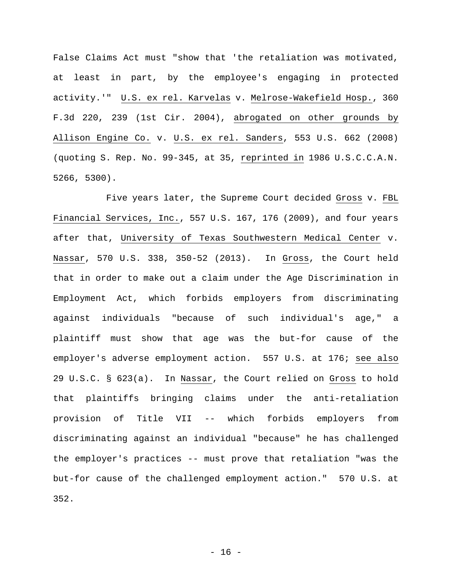False Claims Act must "show that 'the retaliation was motivated, at least in part, by the employee's engaging in protected activity.'" U.S. ex rel. Karvelas v. Melrose-Wakefield Hosp., 360 F.3d 220, 239 (1st Cir. 2004), abrogated on other grounds by Allison Engine Co. v. U.S. ex rel. Sanders, 553 U.S. 662 (2008) (quoting S. Rep. No. 99-345, at 35, reprinted in 1986 U.S.C.C.A.N. 5266, 5300).

Five years later, the Supreme Court decided Gross v. FBL Financial Services, Inc., 557 U.S. 167, 176 (2009), and four years after that, University of Texas Southwestern Medical Center v. Nassar, 570 U.S. 338, 350-52 (2013). In Gross, the Court held that in order to make out a claim under the Age Discrimination in Employment Act, which forbids employers from discriminating against individuals "because of such individual's age," a plaintiff must show that age was the but-for cause of the employer's adverse employment action. 557 U.S. at 176; see also 29 U.S.C. § 623(a). In Nassar, the Court relied on Gross to hold that plaintiffs bringing claims under the anti-retaliation provision of Title VII -- which forbids employers from discriminating against an individual "because" he has challenged the employer's practices -- must prove that retaliation "was the but-for cause of the challenged employment action." 570 U.S. at 352.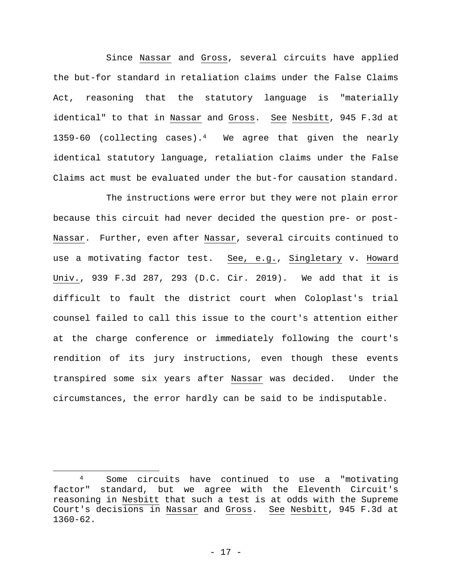Since Nassar and Gross, several circuits have applied the but-for standard in retaliation claims under the False Claims Act, reasoning that the statutory language is "materially identical" to that in Nassar and Gross. See Nesbitt, 945 F.3d at 1359-60 (collecting cases).<sup>4</sup> We agree that given the nearly identical statutory language, retaliation claims under the False Claims act must be evaluated under the but-for causation standard.

The instructions were error but they were not plain error because this circuit had never decided the question pre- or post-Nassar. Further, even after Nassar, several circuits continued to use a motivating factor test. See, e.g., Singletary v. Howard Univ., 939 F.3d 287, 293 (D.C. Cir. 2019). We add that it is difficult to fault the district court when Coloplast's trial counsel failed to call this issue to the court's attention either at the charge conference or immediately following the court's rendition of its jury instructions, even though these events transpired some six years after Nassar was decided. Under the circumstances, the error hardly can be said to be indisputable.

<sup>4</sup> Some circuits have continued to use a "motivating factor" standard, but we agree with the Eleventh Circuit's reasoning in Nesbitt that such a test is at odds with the Supreme Court's decisions in Nassar and Gross. See Nesbitt, 945 F.3d at 1360-62.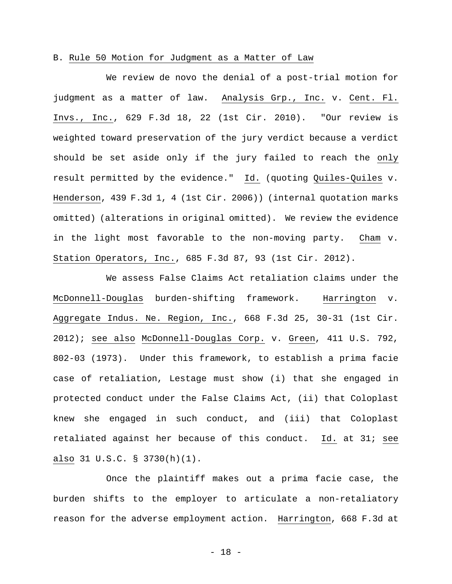### B. Rule 50 Motion for Judgment as a Matter of Law

We review de novo the denial of a post-trial motion for judgment as a matter of law. Analysis Grp., Inc. v. Cent. Fl. Invs., Inc., 629 F.3d 18, 22 (1st Cir. 2010). "Our review is weighted toward preservation of the jury verdict because a verdict should be set aside only if the jury failed to reach the only result permitted by the evidence." Id. (quoting Quiles-Quiles v. Henderson, 439 F.3d 1, 4 (1st Cir. 2006)) (internal quotation marks omitted) (alterations in original omitted). We review the evidence in the light most favorable to the non-moving party. Cham v. Station Operators, Inc., 685 F.3d 87, 93 (1st Cir. 2012).

We assess False Claims Act retaliation claims under the McDonnell-Douglas burden-shifting framework. Harrington v. Aggregate Indus. Ne. Region, Inc., 668 F.3d 25, 30-31 (1st Cir. 2012); see also McDonnell-Douglas Corp. v. Green, 411 U.S. 792, 802-03 (1973). Under this framework, to establish a prima facie case of retaliation, Lestage must show (i) that she engaged in protected conduct under the False Claims Act, (ii) that Coloplast knew she engaged in such conduct, and (iii) that Coloplast retaliated against her because of this conduct. Id. at 31; see also 31 U.S.C. § 3730(h)(1).

Once the plaintiff makes out a prima facie case, the burden shifts to the employer to articulate a non-retaliatory reason for the adverse employment action. Harrington, 668 F.3d at

- 18 -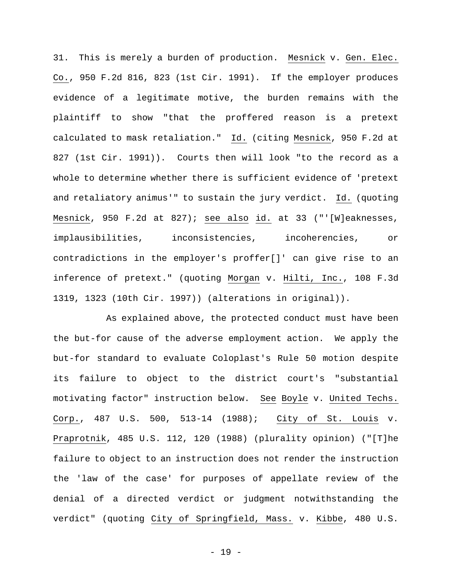31. This is merely a burden of production. Mesnick v. Gen. Elec. Co., 950 F.2d 816, 823 (1st Cir. 1991). If the employer produces evidence of a legitimate motive, the burden remains with the plaintiff to show "that the proffered reason is a pretext calculated to mask retaliation." Id. (citing Mesnick, 950 F.2d at 827 (1st Cir. 1991)). Courts then will look "to the record as a whole to determine whether there is sufficient evidence of 'pretext and retaliatory animus'" to sustain the jury verdict. Id. (quoting Mesnick, 950 F.2d at 827); see also id. at 33 ("'[W]eaknesses, implausibilities, inconsistencies, incoherencies, or contradictions in the employer's proffer[]' can give rise to an inference of pretext." (quoting Morgan v. Hilti, Inc., 108 F.3d 1319, 1323 (10th Cir. 1997)) (alterations in original)).

As explained above, the protected conduct must have been the but-for cause of the adverse employment action. We apply the but-for standard to evaluate Coloplast's Rule 50 motion despite its failure to object to the district court's "substantial motivating factor" instruction below. See Boyle v. United Techs. Corp., 487 U.S. 500, 513-14 (1988); City of St. Louis v. Praprotnik, 485 U.S. 112, 120 (1988) (plurality opinion) ("[T]he failure to object to an instruction does not render the instruction the 'law of the case' for purposes of appellate review of the denial of a directed verdict or judgment notwithstanding the verdict" (quoting City of Springfield, Mass. v. Kibbe, 480 U.S.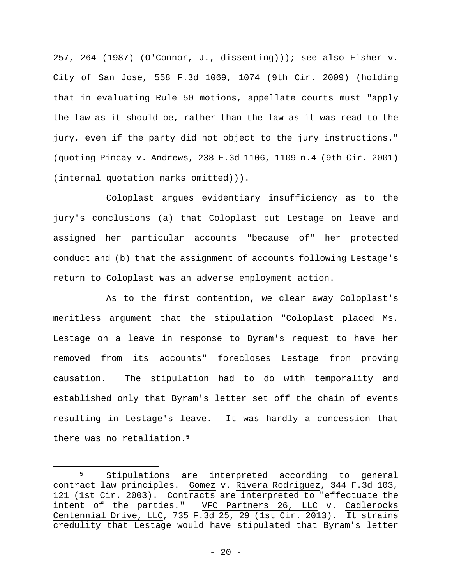257, 264 (1987) (O'Connor, J., dissenting))); see also Fisher v. City of San Jose, 558 F.3d 1069, 1074 (9th Cir. 2009) (holding that in evaluating Rule 50 motions, appellate courts must "apply the law as it should be, rather than the law as it was read to the jury, even if the party did not object to the jury instructions." (quoting Pincay v. Andrews, 238 F.3d 1106, 1109 n.4 (9th Cir. 2001) (internal quotation marks omitted))).

Coloplast argues evidentiary insufficiency as to the jury's conclusions (a) that Coloplast put Lestage on leave and assigned her particular accounts "because of" her protected conduct and (b) that the assignment of accounts following Lestage's return to Coloplast was an adverse employment action.

As to the first contention, we clear away Coloplast's meritless argument that the stipulation "Coloplast placed Ms. Lestage on a leave in response to Byram's request to have her removed from its accounts" forecloses Lestage from proving causation. The stipulation had to do with temporality and established only that Byram's letter set off the chain of events resulting in Lestage's leave. It was hardly a concession that there was no retaliation.**<sup>5</sup>**

<sup>5</sup> Stipulations are interpreted according to general contract law principles. Gomez v. Rivera Rodriguez, 344 F.3d 103, 121 (1st Cir. 2003). Contracts are interpreted to "effectuate the intent of the parties." VFC Partners 26, LLC v. Cadlerocks Centennial Drive, LLC, 735 F.3d 25, 29 (1st Cir. 2013). It strains credulity that Lestage would have stipulated that Byram's letter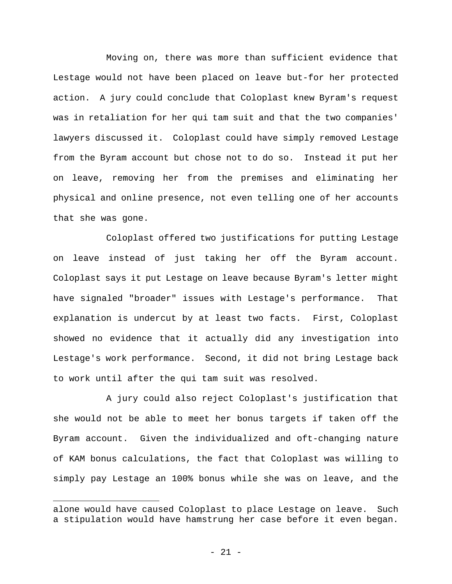Moving on, there was more than sufficient evidence that Lestage would not have been placed on leave but-for her protected action. A jury could conclude that Coloplast knew Byram's request was in retaliation for her qui tam suit and that the two companies' lawyers discussed it. Coloplast could have simply removed Lestage from the Byram account but chose not to do so. Instead it put her on leave, removing her from the premises and eliminating her physical and online presence, not even telling one of her accounts that she was gone.

Coloplast offered two justifications for putting Lestage on leave instead of just taking her off the Byram account. Coloplast says it put Lestage on leave because Byram's letter might have signaled "broader" issues with Lestage's performance. That explanation is undercut by at least two facts. First, Coloplast showed no evidence that it actually did any investigation into Lestage's work performance. Second, it did not bring Lestage back to work until after the qui tam suit was resolved.

A jury could also reject Coloplast's justification that she would not be able to meet her bonus targets if taken off the Byram account. Given the individualized and oft-changing nature of KAM bonus calculations, the fact that Coloplast was willing to simply pay Lestage an 100% bonus while she was on leave, and the

alone would have caused Coloplast to place Lestage on leave. Such a stipulation would have hamstrung her case before it even began.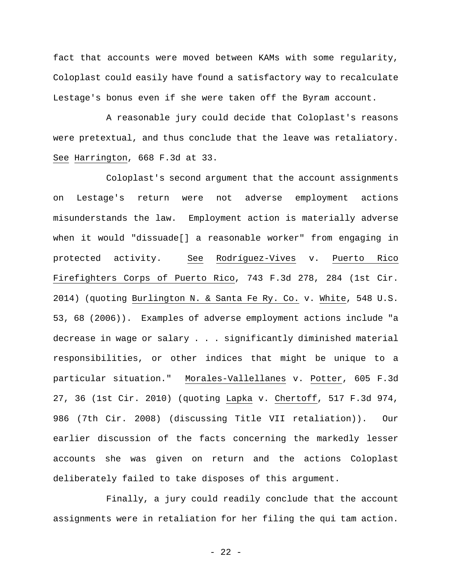fact that accounts were moved between KAMs with some regularity, Coloplast could easily have found a satisfactory way to recalculate Lestage's bonus even if she were taken off the Byram account.

A reasonable jury could decide that Coloplast's reasons were pretextual, and thus conclude that the leave was retaliatory. See Harrington, 668 F.3d at 33.

Coloplast's second argument that the account assignments on Lestage's return were not adverse employment actions misunderstands the law. Employment action is materially adverse when it would "dissuade[] a reasonable worker" from engaging in protected activity. See Rodríguez-Vives v. Puerto Rico Firefighters Corps of Puerto Rico, 743 F.3d 278, 284 (1st Cir. 2014) (quoting Burlington N. & Santa Fe Ry. Co. v. White, 548 U.S. 53, 68 (2006)). Examples of adverse employment actions include "a decrease in wage or salary . . . significantly diminished material responsibilities, or other indices that might be unique to a particular situation." Morales-Vallellanes v. Potter, 605 F.3d 27, 36 (1st Cir. 2010) (quoting Lapka v. Chertoff, 517 F.3d 974, 986 (7th Cir. 2008) (discussing Title VII retaliation)). Our earlier discussion of the facts concerning the markedly lesser accounts she was given on return and the actions Coloplast deliberately failed to take disposes of this argument.

Finally, a jury could readily conclude that the account assignments were in retaliation for her filing the qui tam action.

- 22 -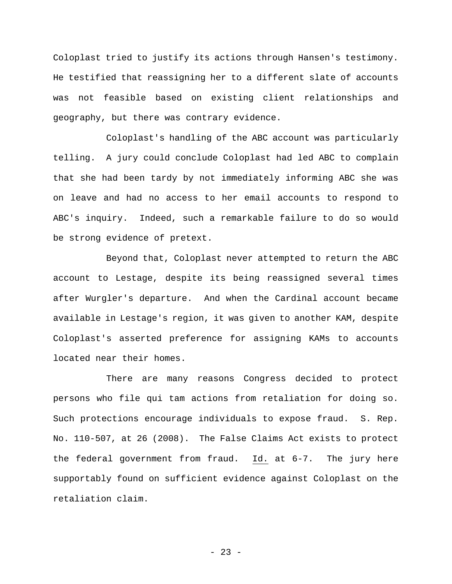Coloplast tried to justify its actions through Hansen's testimony. He testified that reassigning her to a different slate of accounts was not feasible based on existing client relationships and geography, but there was contrary evidence.

Coloplast's handling of the ABC account was particularly telling. A jury could conclude Coloplast had led ABC to complain that she had been tardy by not immediately informing ABC she was on leave and had no access to her email accounts to respond to ABC's inquiry. Indeed, such a remarkable failure to do so would be strong evidence of pretext.

Beyond that, Coloplast never attempted to return the ABC account to Lestage, despite its being reassigned several times after Wurgler's departure. And when the Cardinal account became available in Lestage's region, it was given to another KAM, despite Coloplast's asserted preference for assigning KAMs to accounts located near their homes.

There are many reasons Congress decided to protect persons who file qui tam actions from retaliation for doing so. Such protections encourage individuals to expose fraud. S. Rep. No. 110-507, at 26 (2008). The False Claims Act exists to protect the federal government from fraud. Id. at 6-7. The jury here supportably found on sufficient evidence against Coloplast on the retaliation claim.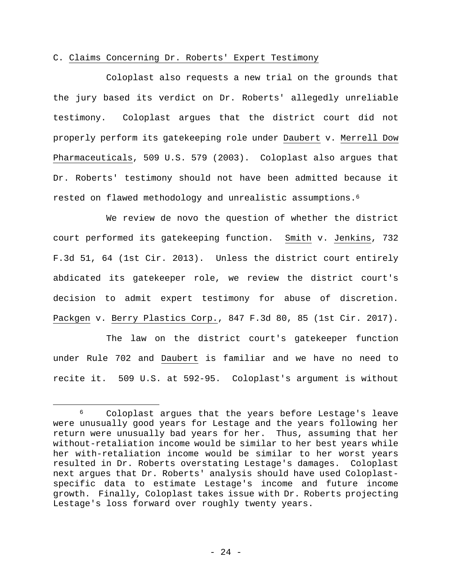## C. Claims Concerning Dr. Roberts' Expert Testimony

Coloplast also requests a new trial on the grounds that the jury based its verdict on Dr. Roberts' allegedly unreliable testimony. Coloplast argues that the district court did not properly perform its gatekeeping role under Daubert v. Merrell Dow Pharmaceuticals, 509 U.S. 579 (2003). Coloplast also argues that Dr. Roberts' testimony should not have been admitted because it rested on flawed methodology and unrealistic assumptions.6

We review de novo the question of whether the district court performed its gatekeeping function. Smith v. Jenkins, 732 F.3d 51, 64 (1st Cir. 2013). Unless the district court entirely abdicated its gatekeeper role, we review the district court's decision to admit expert testimony for abuse of discretion. Packgen v. Berry Plastics Corp., 847 F.3d 80, 85 (1st Cir. 2017).

The law on the district court's gatekeeper function under Rule 702 and Daubert is familiar and we have no need to recite it. 509 U.S. at 592-95. Coloplast's argument is without

<sup>6</sup> Coloplast argues that the years before Lestage's leave were unusually good years for Lestage and the years following her return were unusually bad years for her. Thus, assuming that her without-retaliation income would be similar to her best years while her with-retaliation income would be similar to her worst years resulted in Dr. Roberts overstating Lestage's damages. Coloplast next argues that Dr. Roberts' analysis should have used Coloplastspecific data to estimate Lestage's income and future income growth. Finally, Coloplast takes issue with Dr. Roberts projecting Lestage's loss forward over roughly twenty years.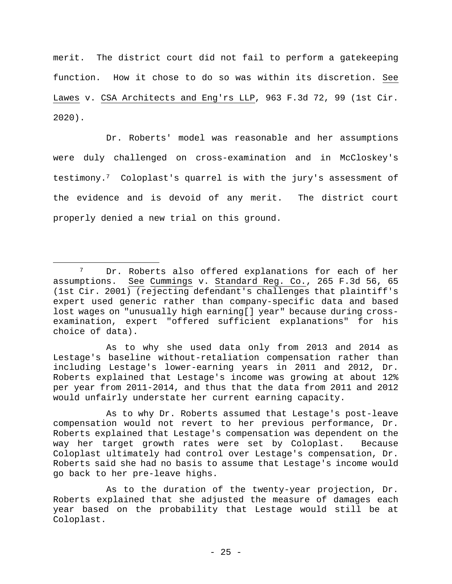merit. The district court did not fail to perform a gatekeeping function. How it chose to do so was within its discretion. See Lawes v. CSA Architects and Eng'rs LLP, 963 F.3d 72, 99 (1st Cir. 2020).

Dr. Roberts' model was reasonable and her assumptions were duly challenged on cross-examination and in McCloskey's testimony.7 Coloplast's quarrel is with the jury's assessment of the evidence and is devoid of any merit. The district court properly denied a new trial on this ground.

As to why she used data only from 2013 and 2014 as Lestage's baseline without-retaliation compensation rather than including Lestage's lower-earning years in 2011 and 2012, Dr. Roberts explained that Lestage's income was growing at about 12% per year from 2011-2014, and thus that the data from 2011 and 2012 would unfairly understate her current earning capacity.

As to why Dr. Roberts assumed that Lestage's post-leave compensation would not revert to her previous performance, Dr. Roberts explained that Lestage's compensation was dependent on the way her target growth rates were set by Coloplast. Because Coloplast ultimately had control over Lestage's compensation, Dr. Roberts said she had no basis to assume that Lestage's income would go back to her pre-leave highs.

<sup>7</sup> Dr. Roberts also offered explanations for each of her assumptions. See Cummings v. Standard Reg. Co., 265 F.3d 56, 65 (1st Cir. 2001) (rejecting defendant's challenges that plaintiff's expert used generic rather than company-specific data and based lost wages on "unusually high earning[] year" because during crossexamination, expert "offered sufficient explanations" for his choice of data).

As to the duration of the twenty-year projection, Dr. Roberts explained that she adjusted the measure of damages each year based on the probability that Lestage would still be at Coloplast.